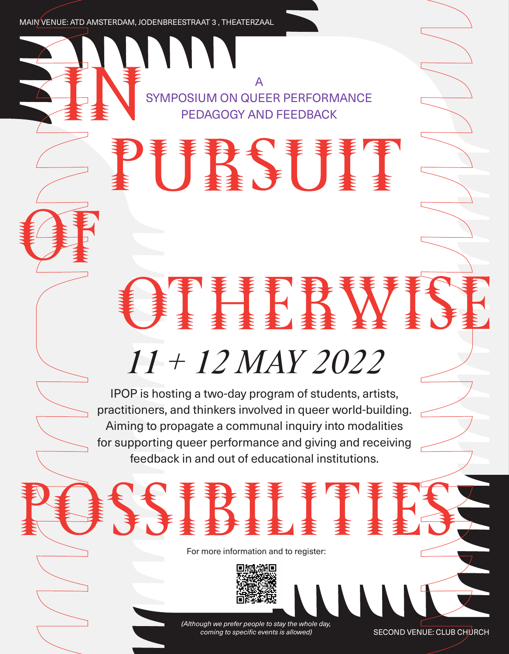MAIN VENUE: ATD AMSTERDAM, JODENBREESTRAAT 3 , THEATERZAAL

A SYMPOSIUM ON QUEER PERFORMANCE PEDAGOGY AND FEEDBACK

# 25

# *11 + 12 MAY 2022*

Fi k i

IPOP is hosting a two-day program of students, artists, practitioners, and thinkers involved in queer world-building. Aiming to propagate a communal inquiry into modalities for supporting queer performance and giving and receiving feedback in and out of educational institutions.

For more information and to register:



*(Although we prefer people to stay the whole day, coming to specific events is allowed)*

SECOND VENUE: CLUB CHURCH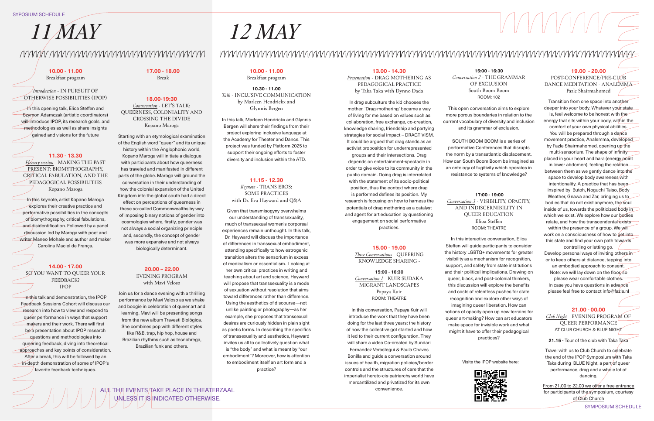## *11 MAY 12 MAY*

In this opening talk, Elioa Steffen and Szymon Adamczak (artistic coordinators) will introduce IPOP, its research goals, and methodologies as well as share insights gained and visions for the future

#### **10.00 - 11.00**

Breakfast program

*Introduction* - IN PURSUIT OF OTHERWISE POSSIBILITIES (IPOP)

### **17.00 - 18.00**

Break

**10.00 - 11.00**

Breakfast program

POST-CONFERENCE/PRE-CLUB DANCE MEDITATION - ANALEMMA Fazle Shairmahomed

**18.00-19:30** *Conversation* - LET'S TALK: QUEERNESS, COLONIALITY AND CROSSING THE DIVIDE Kopano Maroga

**10.30 - 11.00**  *Talk* - INCLUSIVE COMMUNICATION by Marleen Hendrickx and Glynnis Bergen

#### **13.00 - 14.30**

*Presentation* - DRAG MOTHERING AS PEDAGOGICAL PRACTICE by Taka Taka with Dynno Dada

#### **19.00 - 20.00**

#### **21.00 - 00.00**

*Club Night* - EVENING PROGRAM OF QUEER PERFORMANCE AT CLUB CHURCH & BLUE NIGHT

#### **15.00 - 19.00** *Three Conversations* - QUEERING KNOWLEDGE SHARING -

 **17:00 - 19:00** *Conversation 3* - VISIBILITY, OPACITY, AND INDISCERNIBILITY IN QUEER EDUCATION Elioa Steffen ROOM: THEATRE

**15:00 - 16:30** *Conversation 1* - KUIR SUDAKA MIGRANT LANDSCAPES Papaya Kuir ROOM: THEATRE

#### **15:00 - 16:30**

*Conversation 2* - THE GRAMMAR OF EXCLUSION South Boom Boom ROOM: 102

#### **11.15 - 12.30**

*Keynote* - TRANS EROS: SOME PRACTICES with Dr. Eva Hayward and Q&A

#### **20.00 – 22.00** EVENING PROGRAM with Mavi Veloso

#### **11.30 - 13.30**

*Plenary session* - MAKING THE PAST PRESENT: BIOMYTHOGRAPHY, CRITICAL FABULATION, AND THE PEDAGOGICAL POSSIBILITIES Kopano Maroga

**14.00 - 17.00** SO YOU WANT TO OUEER YOUR FEEDBACK? IPOP

In this talk and demonstration, the IPOP Feedback Sessions Cohort will discuss our research into how to view and respond to queer performance in ways that support makers and their work. There will first be a presentation about IPOP research questions and methodologies into queering feedback, diving into theoretical **approaches and key points of consideration.** After a break, this will be followed by an in-depth demonstration of some of IPOP's favorite feedback techniques.

Starting with an etymological examination of the English word "queer" and its unique history within the Anglophonic world, Kopano Maroga will initiate a dialogue with participants about how queerness has traveled and manifested in different parts of the globe. Maroga will ground the conversation in their understanding of how the colonial expansion of the United Kingdom into the global south had a direct effect on perceptions of queerness in these so-called Commonwealths by way of imposing binary notions of gender into cosmologies where, firstly, gender was not always a social organizing principle and, secondly, the concept of gender was more expansive and not always biologically determinant.

> From 21.00 to 22.00 we offer a free entrance for participants of the symposium, courtesy of Club Church

In this keynote, artist Kopano Maroga explores their creative practice and performative possibilities in the concepts of biomythography, critical fabulations, and disidentification. Followed by a panel discussion led by Maroga with poet and writer Maneo Mohale and author and maker Carolina Maciel de França.

In this talk, Marleen Hendrickx and Glynnis Bergen will share their findings from their project exploring inclusive language at the Academy for Theater and Dance. This project was funded by Platform 2025 to support their ongoing efforts to foster diversity and inclusion within the ATD.

In drag subculture the kid chooses the mother. 'Drag-mothering' became a way of living for me based on values such as collaboration, free exchange, co-creation, knowledge sharing, friendship and partying strategies for social impact – DRAGTIVISM. It could be argued that drag stands as an activist proposition for underrepresented groups and their intersections. Drag depends on entertainment-spectacle in order to give voice to its community in the public domain. Doing drag is interrelated with the statement of its socio-political position, thus the context where drag is performed defines its position. My research is focusing on how to harness the potentials of drag mothering as a catalyst and agent for art education by questioning engagement on social performative practices.

In this conversation, Papaya Kuir will introduce the work that they have been doing for the last three years: the history of how the collective got started and how it led to their current configuration. They will share a video Co-created by Sundari Fernandez Verastegui & Paula Chaves Bonilla and guide a conversation around issues of health, migration policies/border controls and the structures of care that the imperialist hereto-cis-patriarchy world have mercantilized and privatized for its own convenience.

**21.15** - Tour of the club with Taka Taka

Travel with us to Club Church to celebrate the end of the IPOP Symposium with Taka Taka during BLUE Night, a part/of queer performance, drag and a whole lot of dancing.

ALL THE EVENTS TAKE PLACE IN THEATERZAAL UNLESS IT IS INDICATED OTHERWISE.

# 

This open conversation aims to explore more porous boundaries in relation to the current vocabulary of diversity and inclusion and its grammar of exclusion.

SOUTH BOOM BOOM is a series of performative Conferences that disrupts the norm by a transatlantic displacement. How can South Boom Boom be imagined as an ontology of fugitivity which operates in resistance to systems of knowledge?

Transition from one space into another deeper into your body. Whatever your state is, feel welcome to be honest with the energy that sits within your body, within the comfort of your own physical abilities. You will be prepared through a dance movement practice, Analemma, developed by Fazle Shairmahomed, opening up the multi-sensorium. The shape of infinity placed in your heart and hara (energy point in lower abdomen), feeling the relation between them as we gently dance into the space to develop body awareness/with intentionality. A practice that has been inspired by Butoh, Noguchi Taiso, Body Weather, Gnawa and Zar, bringing us to bodies that do not exist anymore, the soul inside of us, towards the politicized body in which we exist. We explore how our bodies relate, and how the transcendental exists within the presence of a group. We will work on a consciousness of how to get into this state and find your own path towards controlling or letting go. Develop personal ways of inviting others in or to keep others at distance, tapping into an embodied approach to consent. Note: we will lay down on the floor, so please wear comfortable clothes. In case you have questions in advance please feel free to contact info@fazle.nl

In this interactive conversation, Elioa



Steffen will guide participants to consider the history LGBTQ+ movements for greater visibility as a mechanism for recognition, support, and safety from state institutions and their political implications. Drawing on queer, black, and post-colonial thinkers, this discussion will explore the benefits and costs of relentless pushes for state recognition and explore other ways of imagining queer liberation. How can notions of opacity open up new terrains for queer art-making? How can art educators make space for invisible work and what might it have to offer their pedagogical practices?

Visite the IPOP website here:



Join us for a dance evening with a thrilling performance by Mavi Veloso as we shake and boogie in celebration of queer art and learning. Mavi will be presenting songs from the new album Travesti Biológica. She combines pop with different styles like R&B, trap, hip hop, house and Brazilian rhythms such as tecnobrega, Brazilian funk and others.

### 

Given that transmisogyny overwhelms our understanding of transsexuality, much of transsexual women's corporeal experiences remain unthought. In this talk, Dr. Hayward will discuss the importance of differences in transsexual embodiment, attending specifically to how estrogenic transition alters the sensorium in excess of medicalism or essentialism. Looking at her own critical practices in writing and teaching about art and science, Hayward will propose that transsexuality is a mode of sexuation without resolution that aims toward differences rather than difference. Using the aesthetics of discourse—not unlike painting or photography—as her example, she proposes that transsexual desires are curiously hidden in plain sight as poetic forms. In describing the specifics of transsexuality and aesthetics, Hayward invites us all to collectively question what is "the body" and what is meant by "our embodiment"? Moreover, how is attention to embodiment itself an art form and a practice?

#### SYPOSIUM SCHEDULE